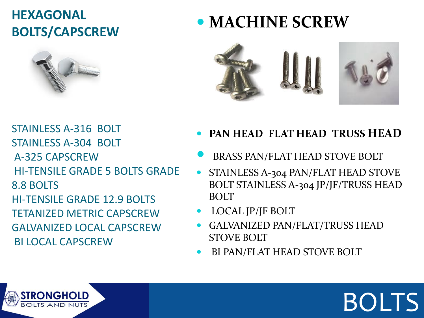#### **HEXAGONAL BOLTS/CAPSCREW**



### **MACHINE SCREW**



STAINLESS A-316 BOLT STAINLESS A-304 BOLT A-325 CAPSCREW HI-TENSILE GRADE 5 BOLTS GRADE 8.8 BOLTS HI-TENSILE GRADE 12.9 BOLTS TETANIZED METRIC CAPSCREW GALVANIZED LOCAL CAPSCREW BI LOCAL CAPSCREW

- **PAN HEAD FLAT HEAD TRUSS HEAD**
- BRASS PAN/FLAT HEAD STOVE BOLT
- **STAINLESS A-304 PAN/FLAT HEAD STOVE** BOLT STAINLESS A-304 JP/JF/TRUSS HEAD **BOLT**

BOLTS

- LOCAL JP/JF BOLT
- GALVANIZED PAN/FLAT/TRUSS HEAD STOVE BOLT
- BI PAN/FLAT HEAD STOVE BOLT

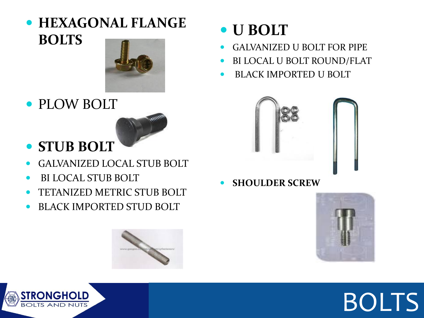#### **HEXAGONAL FLANGE BOLTS**



PLOW BOLT



#### **STUB BOLT**

- GALVANIZED LOCAL STUB BOLT
- BI LOCAL STUB BOLT
- TETANIZED METRIC STUB BOLT
- BLACK IMPORTED STUD BOLT



- GALVANIZED U BOLT FOR PIPE
- BI LOCAL U BOLT ROUND/FLAT
- BLACK IMPORTED U BOLT



**SHOULDER SCREW**







### BOLTS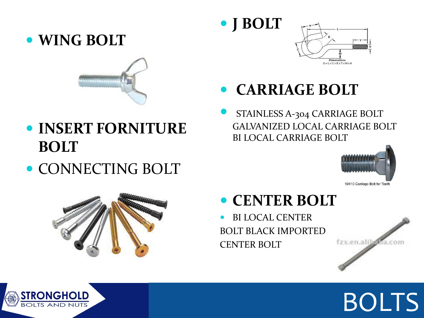#### **WING BOLT**



- **INSERT FORNITURE BOLT**
- CONNECTING BOLT



#### **CARRIAGE BOLT**

**J BOLT**

 STAINLESS A-304 CARRIAGE BOLT GALVANIZED LOCAL CARRIAGE BOLT BI LOCAL CARRIAGE BOLT





#### **CENTER BOLT**

 BI LOCAL CENTER BOLT BLACK IMPORTED CENTER BOLT







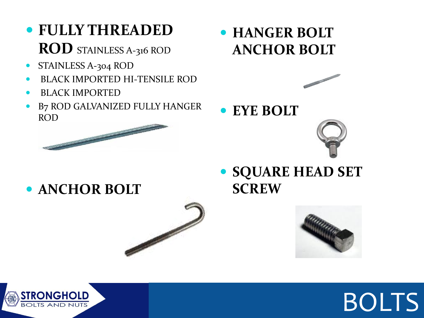- **FULLY THREADED ROD** STAINLESS A-316 ROD
- STAINLESS A-304 ROD
- BLACK IMPORTED HI-TENSILE ROD
- BLACK IMPORTED
- B7 ROD GALVANIZED FULLY HANGER ROD



 **HANGER BOLT ANCHOR BOLT**



**EYE BOLT**



**ANCHOR BOLT**

 **SQUARE HEAD SET SCREW**





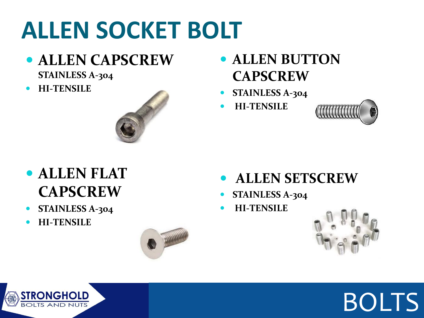### **ALLEN SOCKET BOLT**

- **ALLEN CAPSCREW STAINLESS A-304**
- **HI-TENSILE**



- **ALLEN BUTTON CAPSCREW**
- **STAINLESS A-304**
- **HI-TENSILE**



- **ALLEN FLAT CAPSCREW**
- **STAINLESS A-304**
- **HI-TENSILE**



#### **ALLEN SETSCREW**

- **STAINLESS A-304**
- **HI-TENSILE**





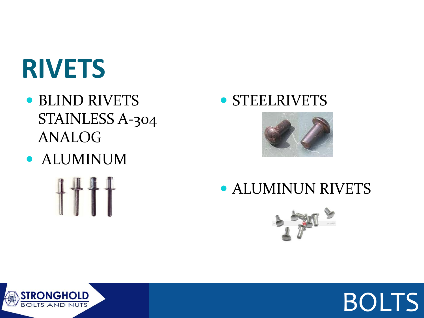### **RIVETS**

- BLIND RIVETS STAINLESS A-304 ANALOG
- ALUMINUM

#### **• STEELRIVETS**



#### ALUMINUN RIVETS





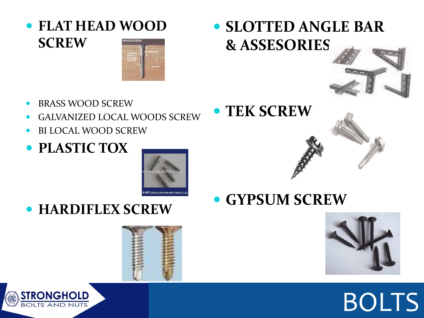**FLAT HEAD WOOD SCREW** voon scas



- BRASS WOOD SCREW
- GALVANIZED LOCAL WOODS SCREW
- BI LOCAL WOOD SCREW
- **PLASTIC TOX**



**HARDIFLEX SCREW**





#### **SLOTTED ANGLE BAR & ASSESORIES**





**GYPSUM SCREW**



## BOLTS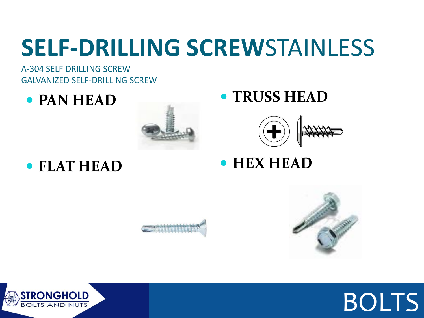### **SELF-DRILLING SCREW**STAINLESS

A-304 SELF DRILLING SCREW GALVANIZED SELF-DRILLING SCREW

**PAN HEAD**

**FLAT HEAD**



#### **TRUSS HEAD**



**HEX HEAD**







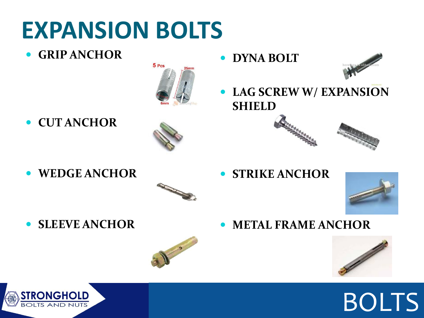### **EXPANSION BOLTS**

**GRIP ANCHOR**



**CUT ANCHOR**



**WEDGE ANCHOR**



**STRIKE ANCHOR**

**LAG SCREW W/ EXPANSION** 

**METAL FRAME ANCHOR**

**• DYNA BOLT** 

**SHIELD**



**SLEEVE ANCHOR**







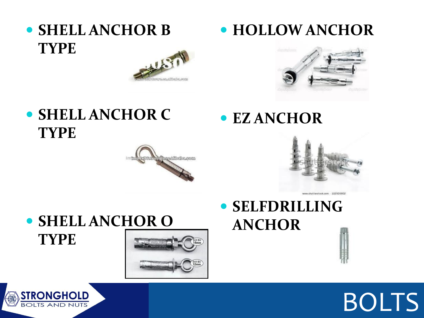**• SHELL ANCHOR B TYPE**



**• SHELL ANCHOR C TYPE**

# allisha.com



**HOLLOW ANCHOR**

#### **• SELFDRILLING ANCHOR**

**EZ ANCHOR**





 **SHELL ANCHOR O TYPE**